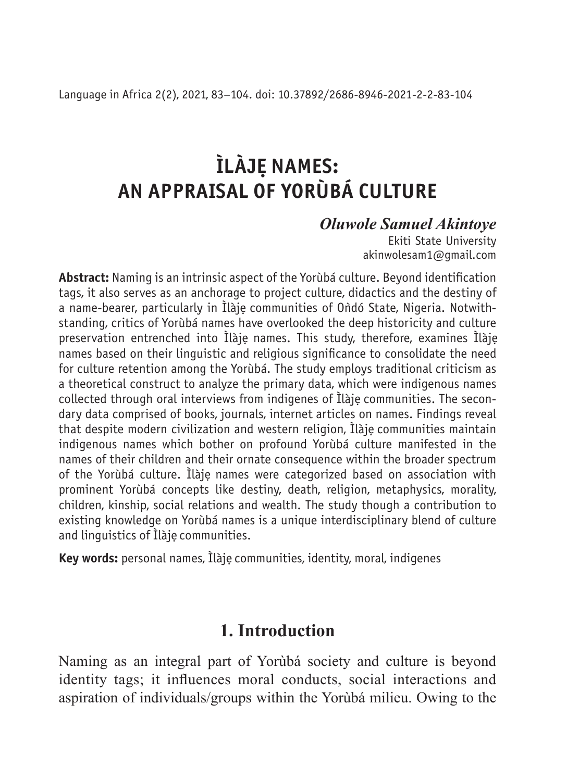# **ÌLÀJE. NAMES: AN APPRAISAL OF YORÙBÁ CULTURE**

### *Oluwole Samuel Akintoye*

Ekiti State University akinwolesam1@gmail.com

**Abstract:** Naming is an intrinsic aspect of the Yorùbá culture. Beyond identification tags, it also serves as an anchorage to project culture, didactics and the destiny of a name-bearer, particularly in Ìlàje communities of Ondó State, Nigeria. Notwithstanding, critics of Yorùbá names have overlooked the deep historicity and culture preservation entrenched into Ìlàje. names. This study, therefore, examines Ìlàje. names based on their linguistic and religious significance to consolidate the need for culture retention among the Yorùbá. The study employs traditional criticism as a theoretical construct to analyze the primary data, which were indigenous names collected through oral interviews from indigenes of Ìlàje. communities. The secondary data comprised of books, journals, internet articles on names. Findings reveal that despite modern civilization and western religion, Ìlàje. communities maintain indigenous names which bother on profound Yorùbá culture manifested in the names of their children and their ornate consequence within the broader spectrum of the Yorùbá culture. Ìlàje. names were categorized based on association with prominent Yorùbá concepts like destiny, death, religion, metaphysics, morality, children, kinship, social relations and wealth. The study though a contribution to existing knowledge on Yorùbá names is a unique interdisciplinary blend of culture and linguistics of Ìlàje communities.

**Key words:** personal names, Ìlàje. communities, identity, moral, indigenes

## **1. Introduction**

Naming as an integral part of Yorùbá society and culture is beyond identity tags; it influences moral conducts, social interactions and aspiration of individuals/groups within the Yorùbá milieu. Owing to the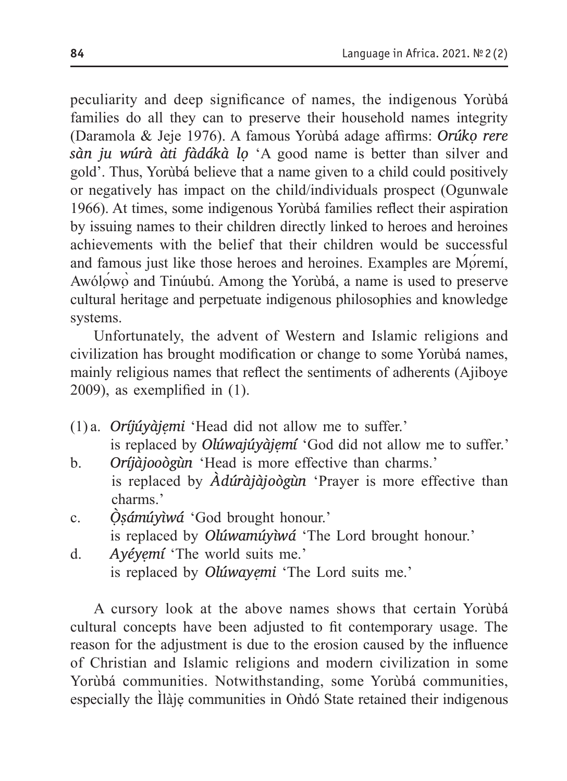peculiarity and deep significance of names, the indigenous Yorùbá families do all they can to preserve their household names integrity (Daramola & Jeje 1976). A famous Yorùbá adage affirms: *Orúkọ rere sàn ju wúrà àti fàdákà lọ* 'A good name is better than silver and gold'. Thus, Yorùbá believe that a name given to a child could positively or negatively has impact on the child/individuals prospect (Ogunwale 1966). At times, some indigenous Yorùbá families reflect their aspiration by issuing names to their children directly linked to heroes and heroines achievements with the belief that their children would be successful and famous just like those heroes and heroines. Examples are Moremi, Awólọ́wọ̀ and Tinúubú. Among the Yorùbá, a name is used to preserve cultural heritage and perpetuate indigenous philosophies and knowledge systems.

Unfortunately, the advent of Western and Islamic religions and civilization has brought modification or change to some Yorùbá names, mainly religious names that reflect the sentiments of adherents (Ajiboye 2009), as exemplified in (1).

- (1) a. *Oríjúyàjẹmi* 'Head did not allow me to suffer.' is replaced by *Olúwajúyàjẹmí* 'God did not allow me to suffer.'
- b. *Oríjàjooògùn* 'Head is more effective than charms.' is replaced by *Àdúràjàjoògùn* 'Prayer is more effective than charms.'
- c. *Ò ̣ṣámúyìwá* 'God brought honour.' is replaced by *Olúwamúyìwá* 'The Lord brought honour.'
- d. *Ayéyẹmí* 'The world suits me.' is replaced by *Olúwayẹmi* 'The Lord suits me.'

A cursory look at the above names shows that certain Yorùbá cultural concepts have been adjusted to fit contemporary usage. The reason for the adjustment is due to the erosion caused by the influence of Christian and Islamic religions and modern civilization in some Yorùbá communities. Notwithstanding, some Yorùbá communities, especially the Ìlàje communities in Ondó State retained their indigenous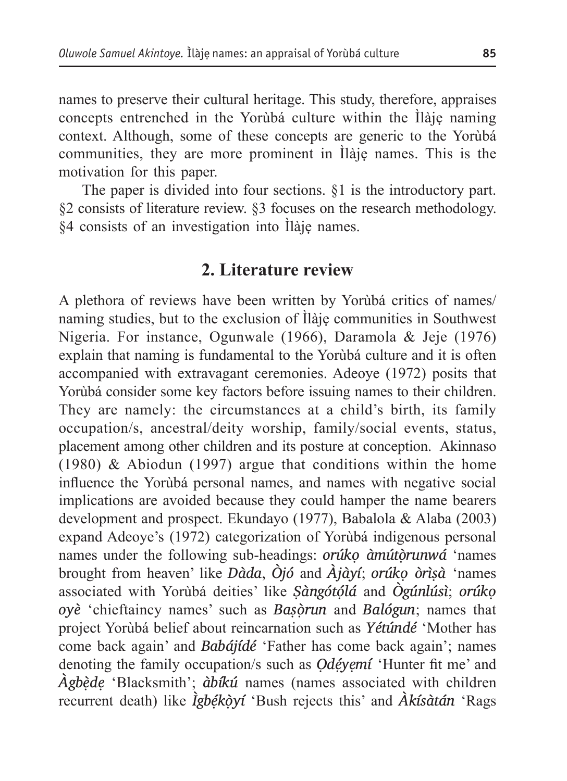names to preserve their cultural heritage. This study, therefore, appraises concepts entrenched in the Yorùbá culture within the Ìlàjẹ naming context. Although, some of these concepts are generic to the Yorùbá communities, they are more prominent in Ìlàjẹ names. This is the motivation for this paper.

The paper is divided into four sections. §1 is the introductory part. §2 consists of literature review. §3 focuses on the research methodology. §4 consists of an investigation into Ìlàjẹ names.

### **2. Literature review**

A plethora of reviews have been written by Yorùbá critics of names/ naming studies, but to the exclusion of Ìlàjẹ communities in Southwest Nigeria. For instance, Ogunwale (1966), Daramola & Jeje (1976) explain that naming is fundamental to the Yorùbá culture and it is often accompanied with extravagant ceremonies. Adeoye (1972) posits that Yorùbá consider some key factors before issuing names to their children. They are namely: the circumstances at a child's birth, its family occupation/s, ancestral/deity worship, family/social events, status, placement among other children and its posture at conception. Akinnaso (1980) & Abiodun (1997) argue that conditions within the home influence the Yorùbá personal names, and names with negative social implications are avoided because they could hamper the name bearers development and prospect. Ekundayo (1977), Babalola & Alaba (2003) expand Adeoye's (1972) categorization of Yorùbá indigenous personal names under the following sub-headings: *orúkọ àmútọ̀runwá* 'names brought from heaven' like *Dàda*, *Òjó* and *Àjàyí*; *orúkọ òrìṣà* 'names associated with Yorùbá deities' like *Ṣàngótọ́lá* and *Ògúnlúsì*; *orúkọ oyè* 'chieftaincy names' such as *Baṣọ̀run* and *Balógun*; names that project Yorùbá belief about reincarnation such as *Yétúndé* 'Mother has come back again' and *Babájídé* 'Father has come back again'; names denoting the family occupation/s such as *Odéyemí* 'Hunter fit me' and *Àgbẹ̀dẹ* 'Blacksmith'; *àbíkú* names (names associated with children recurrent death) like *Ìgbẹ́kọ̀yí* 'Bush rejects this' and *Àkísàtán* 'Rags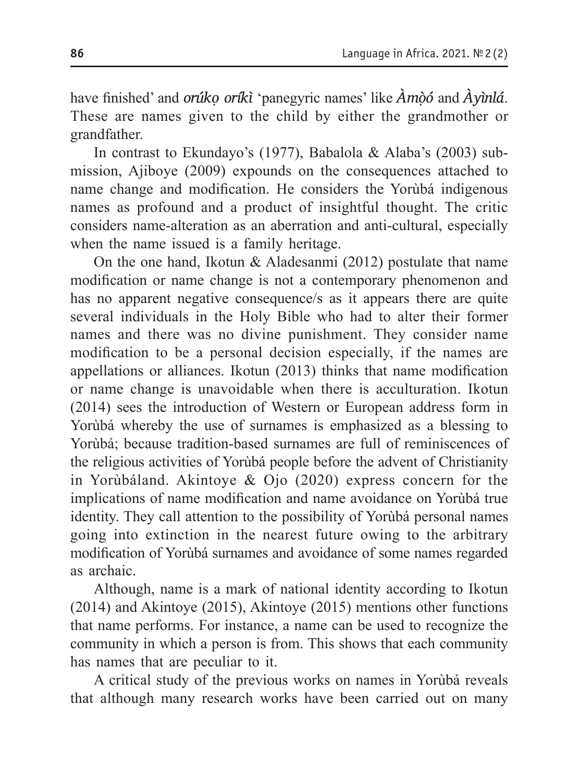have finished' and *orúkọ oríkì* 'panegyric names' like *Àmọ̀ó* and *Àyìnlá*. These are names given to the child by either the grandmother or grandfather.

In contrast to Ekundayo's (1977), Babalola & Alaba's (2003) submission, Ajiboye (2009) expounds on the consequences attached to name change and modification. He considers the Yorùbá indigenous names as profound and a product of insightful thought. The critic considers name-alteration as an aberration and anti-cultural, especially when the name issued is a family heritage.

On the one hand, Ikotun & Aladesanmi (2012) postulate that name modification or name change is not a contemporary phenomenon and has no apparent negative consequence/s as it appears there are quite several individuals in the Holy Bible who had to alter their former names and there was no divine punishment. They consider name modification to be a personal decision especially, if the names are appellations or alliances. Ikotun (2013) thinks that name modification or name change is unavoidable when there is acculturation. Ikotun (2014) sees the introduction of Western or European address form in Yorùbá whereby the use of surnames is emphasized as a blessing to Yorùbá; because tradition-based surnames are full of reminiscences of the religious activities of Yorùbá people before the advent of Christianity in Yorùbáland. Akintoye & Ojo (2020) express concern for the implications of name modification and name avoidance on Yorùbá true identity. They call attention to the possibility of Yorùbá personal names going into extinction in the nearest future owing to the arbitrary modification of Yorùbá surnames and avoidance of some names regarded as archaic.

Although, name is a mark of national identity according to Ikotun (2014) and Akintoye (2015), Akintoye (2015) mentions other functions that name performs. For instance, a name can be used to recognize the community in which a person is from. This shows that each community has names that are peculiar to it.

A critical study of the previous works on names in Yorùbá reveals that although many research works have been carried out on many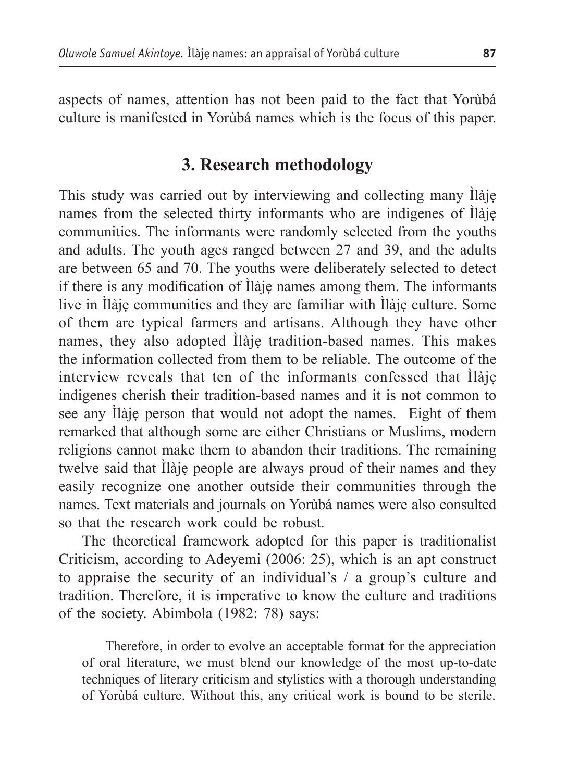aspects of names, attention has not been paid to the fact that Yorùbá culture is manifested in Yorùbá names which is the focus of this paper.

### **3. Research methodology**

This study was carried out by interviewing and collecting many Ìlàjẹ names from the selected thirty informants who are indigenes of Ìlàjẹ communities. The informants were randomly selected from the youths and adults. The youth ages ranged between 27 and 39, and the adults are between 65 and 70. The youths were deliberately selected to detect if there is any modification of Ìlàjẹ names among them. The informants live in Ìlàjẹ communities and they are familiar with Ìlàjẹ culture. Some of them are typical farmers and artisans. Although they have other names, they also adopted Ìlàjẹ tradition-based names. This makes the information collected from them to be reliable. The outcome of the interview reveals that ten of the informants confessed that Ìlàjẹ indigenes cherish their tradition-based names and it is not common to see any Ìlàjẹ person that would not adopt the names. Eight of them remarked that although some are either Christians or Muslims, modern religions cannot make them to abandon their traditions. The remaining twelve said that Ìlàjẹ people are always proud of their names and they easily recognize one another outside their communities through the names. Text materials and journals on Yorùbá names were also consulted so that the research work could be robust.

The theoretical framework adopted for this paper is traditionalist Criticism, according to Adeyemi (2006: 25), which is an apt construct to appraise the security of an individual's / a group's culture and tradition. Therefore, it is imperative to know the culture and traditions of the society. Abimbola (1982: 78) says:

Therefore, in order to evolve an acceptable format for the appreciation of oral literature, we must blend our knowledge of the most up-to-date techniques of literary criticism and stylistics with a thorough understanding of Yorùbá culture. Without this, any critical work is bound to be sterile.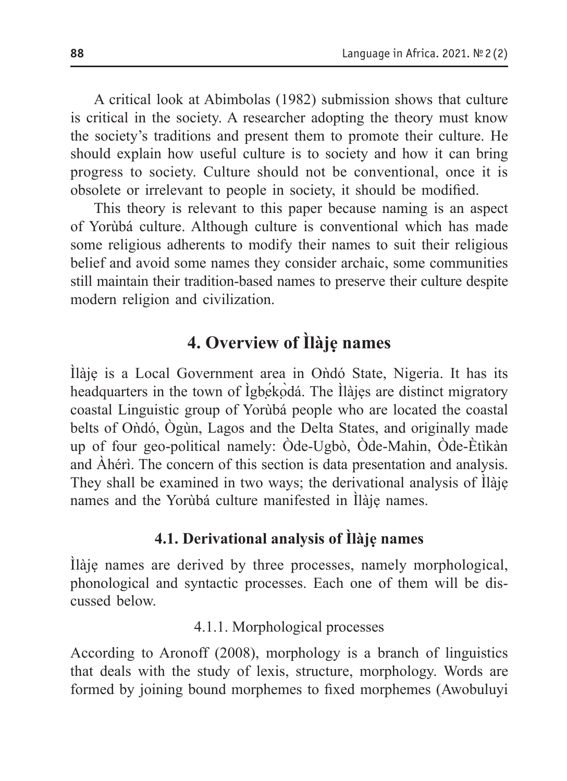A critical look at Abimbolas (1982) submission shows that culture is critical in the society. A researcher adopting the theory must know the society's traditions and present them to promote their culture. He should explain how useful culture is to society and how it can bring progress to society. Culture should not be conventional, once it is obsolete or irrelevant to people in society, it should be modified.

This theory is relevant to this paper because naming is an aspect of Yorùbá culture. Although culture is conventional which has made some religious adherents to modify their names to suit their religious belief and avoid some names they consider archaic, some communities still maintain their tradition-based names to preserve their culture despite modern religion and civilization.

# **4. Overview of Ìlàjẹ names**

Ìlàjẹ is a Local Government area in Oǹdó State, Nigeria. It has its headquarters in the town of Ìgbẹ́kọ̀dá. The Ìlàjẹs are distinct migratory coastal Linguistic group of Yorùbá people who are located the coastal belts of Oǹdó, Ògùn, Lagos and the Delta States, and originally made up of four geo-political namely: Òde-Ugbò, Òde-Mahin, Òde-Ètìkàn and Àhérì. The concern of this section is data presentation and analysis. They shall be examined in two ways; the derivational analysis of Ìlàjẹ names and the Yorùbá culture manifested in Ìlàjẹ names.

### **4.1. Derivational analysis of Ìlàjẹ names**

Ìlàjẹ names are derived by three processes, namely morphological, phonological and syntactic processes. Each one of them will be discussed below.

4.1.1. Morphological processes

According to Aronoff (2008), morphology is a branch of linguistics that deals with the study of lexis, structure, morphology. Words are formed by joining bound morphemes to fixed morphemes (Awobuluyi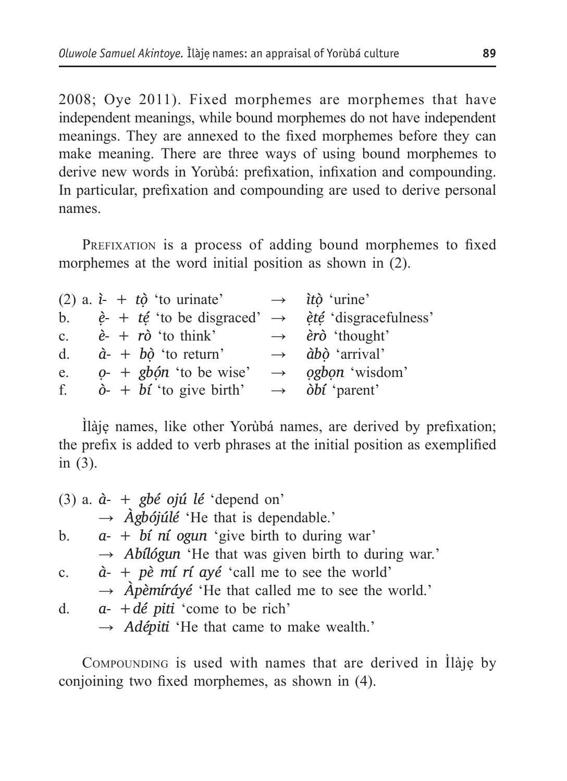2008; Oye 2011). Fixed morphemes are morphemes that have independent meanings, while bound morphemes do not have independent meanings. They are annexed to the fixed morphemes before they can make meaning. There are three ways of using bound morphemes to derive new words in Yorùbá: prefixation, infixation and compounding. In particular, prefixation and compounding are used to derive personal names.

PREFIXATION is a process of adding bound morphemes to fixed morphemes at the word initial position as shown in (2).

|    |  | (2) a. $\hat{i}$ - + $t\hat{o}$ 'to urinate' | $\rightarrow$ <i>itò</i> 'urine'                                                                  |
|----|--|----------------------------------------------|---------------------------------------------------------------------------------------------------|
|    |  |                                              | b. $\dot{e}$ + $t\acute{e}$ 'to be disgraced' $\rightarrow$ $\dot{e}t\acute{e}$ 'disgracefulness' |
|    |  | c. $\dot{e}$ + $r\dot{\sigma}$ 'to think'    | $\rightarrow$ èrò 'thought'                                                                       |
| d. |  | $\dot{a}$ - + $b\dot{\theta}$ 'to return'    | $\rightarrow$ $\dot{a}b\dot{o}$ 'arrival'                                                         |
| e. |  | $o-+$ gbón 'to be wise'                      | $\rightarrow$ ogbon 'wisdom'                                                                      |
|    |  | f. $\dot{\theta}$ + bt 'to give birth'       | $\rightarrow$ <i>obí</i> 'parent'                                                                 |

Ìlàjẹ names, like other Yorùbá names, are derived by prefixation; the prefix is added to verb phrases at the initial position as exemplified in (3).

|             | (3) a. $\dot{a}$ - + gbé ojú lé 'depend on'                               |
|-------------|---------------------------------------------------------------------------|
|             | $\rightarrow$ Agbójúlé 'He that is dependable.'                           |
|             | b. $a_{-} + b\ell$ <i>n</i> $\ell$ <i>ogun</i> 'give birth to during war' |
|             | $\rightarrow$ Abilogun 'He that was given birth to during war.'           |
| $c_{\cdot}$ | $\dot{a}$ - + pè mí rí ayé 'call me to see the world'                     |
|             | $\rightarrow$ <i>Apèmíráyé</i> 'He that called me to see the world.'      |
| d.          | $a-$ + dé piti 'come to be rich'                                          |
|             | $\rightarrow$ Adépiti 'He that came to make wealth.'                      |

COMPOUNDING is used with names that are derived in Ilàje by conjoining two fixed morphemes, as shown in (4).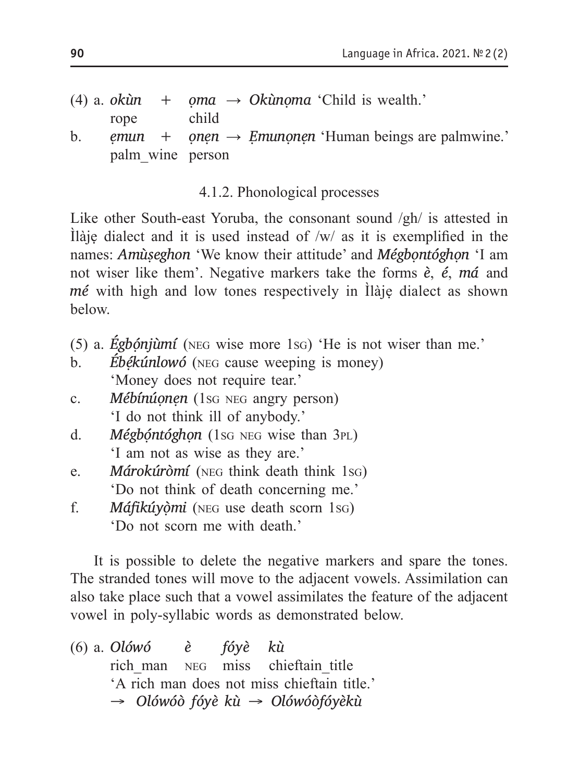(4) a. *okùn* + *oma*  $\rightarrow$  *Okùnoma* 'Child is wealth.' rope child b. *ẹmun + ọnẹn* → *Ẹmunọnẹn* 'Human beings are palmwine.' palm\_wine person

4.1.2. Phonological processes

Like other South-east Yoruba, the consonant sound /gh/ is attested in Ìlàjẹ dialect and it is used instead of /w/ as it is exemplified in the names: *Amùṣeghon* 'We know their attitude' and *Mégbọntóghọn* 'I am not wiser like them'. Negative markers take the forms *è*, *é*, *má* and *mé* with high and low tones respectively in Ìlàjẹ dialect as shown below.

- (5) a. *Égbọ́njùmí* (neg wise more 1sg) 'He is not wiser than me.'
- b. *Ébékúnlowó* (NEG cause weeping is money) 'Money does not require tear.'
- c. *Mébínúonen* (1sg NEG angry person) 'I do not think ill of anybody.'
- d. *Mégbóntóghon* (1sg NEG wise than 3PL) 'I am not as wise as they are.'
- e. *Márokúròmí* (neg think death think 1sg) 'Do not think of death concerning me.'
- f. *Máfikúyọ̀mi* (neg use death scorn 1sg) 'Do not scorn me with death.'

It is possible to delete the negative markers and spare the tones. The stranded tones will move to the adjacent vowels. Assimilation can also take place such that a vowel assimilates the feature of the adjacent vowel in poly-syllabic words as demonstrated below.

(6) a. *Olówó è fóyè kù* rich man NEG miss chieftain title 'A rich man does not miss chieftain title.' *→ Olówóò fóyè kù → Olówóòfóyèkù*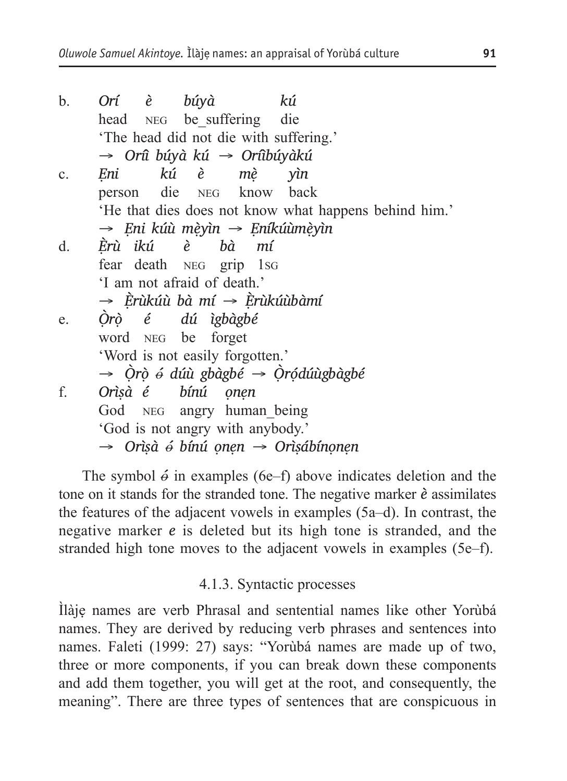b. *Orí è búyà kú* head NEG be suffering die 'The head did not die with suffering.' *→ Oríì búyà kú → Oríìbúyàkú* c. *Ẹni kú è mẹ̀ yìn* person die neg know back 'He that dies does not know what happens behind him.' *→ Ẹni kúù mẹ̀yìn → Ẹníkúùmẹ̀yìn* d. *È ̣rù ikú è bà mí* fear death neg grip 1sg 'I am not afraid of death.' *→ È ̣rùkúù bà mí → È ̣rùkúùbàmí* e. *Ò ̣rọ̀ é dú ìgbàgbé* word NEG be 'Word is not easily forgotten.' *→ Ò ̣rọ̀* \_ *ó dúù gbàgbé → Ò ̣rọ́dúùgbàgbé* f. *Orìṣà é bínú ọnẹn* God NEG angry human being 'God is not angry with anybody.' *<sup>→</sup> Orìṣà* \_ *ó bínú ọnẹn → Orìṣábínọnẹn*

The symbol  $\acute{\theta}$  in examples (6e–f) above indicates deletion and the tone on it stands for the stranded tone. The negative marker *è* assimilates the features of the adjacent vowels in examples (5a–d). In contrast, the negative marker *e* is deleted but its high tone is stranded, and the stranded high tone moves to the adjacent vowels in examples (5e–f).

#### 4.1.3. Syntactic processes

Ìlàjẹ names are verb Phrasal and sentential names like other Yorùbá names. They are derived by reducing verb phrases and sentences into names. Faleti (1999: 27) says: "Yorùbá names are made up of two, three or more components, if you can break down these components and add them together, you will get at the root, and consequently, the meaning". There are three types of sentences that are conspicuous in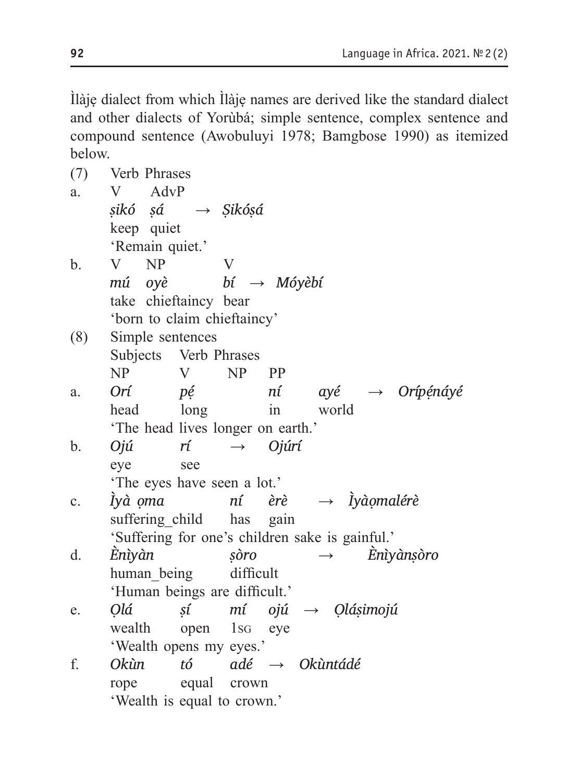Ìlàjẹ dialect from which Ìlàjẹ names are derived like the standard dialect and other dialects of Yorùbá; simple sentence, complex sentence and compound sentence (Awobuluyi 1978; Bamgbose 1990) as itemized below.

| (7)            | Verb Phrases                                    |              |                                               |  |  |  |  |  |
|----------------|-------------------------------------------------|--------------|-----------------------------------------------|--|--|--|--|--|
| a.             | AdvP<br>V                                       |              |                                               |  |  |  |  |  |
|                | sikó sá $\rightarrow$ Sikósá                    |              |                                               |  |  |  |  |  |
|                | keep quiet                                      |              |                                               |  |  |  |  |  |
|                | 'Remain quiet.'                                 |              |                                               |  |  |  |  |  |
| b.             | N <sub>P</sub><br>V –                           | $\mathbf{V}$ |                                               |  |  |  |  |  |
|                | mú oyè $bi \rightarrow M$ óyèbí                 |              |                                               |  |  |  |  |  |
|                | take chieftaincy bear                           |              |                                               |  |  |  |  |  |
|                | 'born to claim chieftaincy'                     |              |                                               |  |  |  |  |  |
| (8)            | Simple sentences                                |              |                                               |  |  |  |  |  |
|                | Subjects Verb Phrases                           |              |                                               |  |  |  |  |  |
|                | NP<br>V                                         | $NP$ $PP$    |                                               |  |  |  |  |  |
| a.             | Orí<br>pé                                       |              | ní ayé $\rightarrow$ Orípénáyé                |  |  |  |  |  |
|                | head long                                       |              | in world                                      |  |  |  |  |  |
|                | 'The head lives longer on earth.'               |              |                                               |  |  |  |  |  |
| b.             | Ojú<br>$r$ i $\rightarrow$                      |              | Ojúrí                                         |  |  |  |  |  |
|                | eye<br>see                                      |              |                                               |  |  |  |  |  |
|                | 'The eyes have seen a lot.'                     |              |                                               |  |  |  |  |  |
| $\mathbf{C}$ . |                                                 |              | Ìyà ọma $\eta i$ èrè $\rightarrow$ Ìyàọmalérè |  |  |  |  |  |
|                | suffering child has gain                        |              |                                               |  |  |  |  |  |
|                | 'Suffering for one's children sake is gainful.' |              |                                               |  |  |  |  |  |
| d.             | Ènìyàn                                          |              | $\rightarrow$ Eniyànşòro<br>sòro              |  |  |  |  |  |
|                | human_being difficult                           |              |                                               |  |  |  |  |  |
|                | 'Human beings are difficult.'                   |              |                                               |  |  |  |  |  |
| e.             | Olá                                             |              | $s$ í mí ojú $\rightarrow$ Qlásimojú          |  |  |  |  |  |
|                | wealth open 1sq eye                             |              |                                               |  |  |  |  |  |
|                | 'Wealth opens my eyes.'                         |              |                                               |  |  |  |  |  |
| f.             | Okùn                                            |              | tó adé $\rightarrow$ Okùntádé                 |  |  |  |  |  |
|                | equal crown<br>rope                             |              |                                               |  |  |  |  |  |
|                | 'Wealth is equal to crown.'                     |              |                                               |  |  |  |  |  |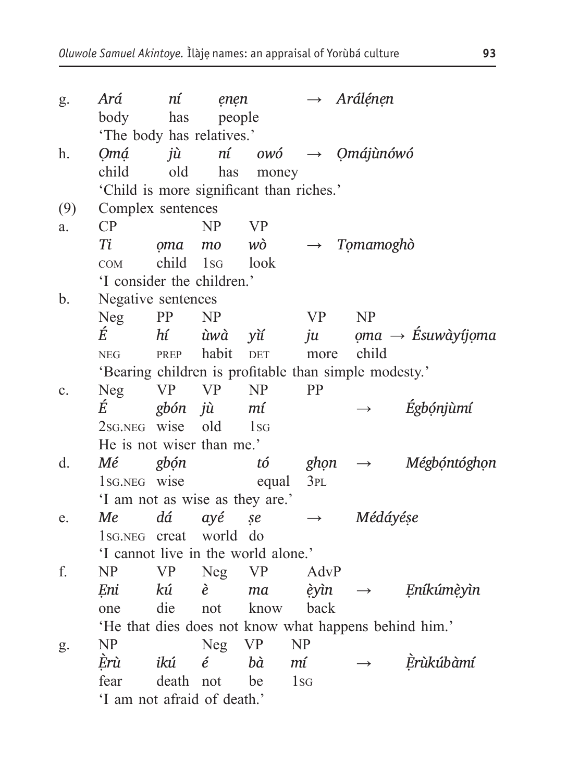| g.  | Ará                                                   | ní                         | enen        |            |                 |                   | $\rightarrow$ Arálénen                                |                                      |  |
|-----|-------------------------------------------------------|----------------------------|-------------|------------|-----------------|-------------------|-------------------------------------------------------|--------------------------------------|--|
|     | body                                                  | has                        | people      |            |                 |                   |                                                       |                                      |  |
|     | 'The body has relatives.'                             |                            |             |            |                 |                   |                                                       |                                      |  |
| h.  | 0má                                                   | jù                         |             |            |                 |                   | $n$ í owó $\rightarrow$ Omájunówó                     |                                      |  |
|     | child                                                 | old                        | has         | money      |                 |                   |                                                       |                                      |  |
|     | 'Child is more significant than riches.'              |                            |             |            |                 |                   |                                                       |                                      |  |
| (9) | Complex sentences                                     |                            |             |            |                 |                   |                                                       |                                      |  |
| a.  | CP                                                    |                            | <b>NP</b>   | <b>VP</b>  |                 |                   |                                                       |                                      |  |
|     | Ti                                                    | oma                        | mo          | wò         |                 |                   | $\rightarrow$ Tomamoghò                               |                                      |  |
|     | <b>COM</b>                                            | child                      | $1_{SG}$    | look       |                 |                   |                                                       |                                      |  |
|     |                                                       | 'I consider the children.' |             |            |                 |                   |                                                       |                                      |  |
| b.  | Negative sentences                                    |                            |             |            |                 |                   |                                                       |                                      |  |
|     | <b>Neg</b>                                            | PP                         | <b>NP</b>   |            |                 | <b>VP</b>         | NP                                                    |                                      |  |
|     | É                                                     | hí                         | ùwà         | yìí        |                 | ju                |                                                       | $oma \rightarrow \hat{E}$ suwàyíjoma |  |
|     | <b>NEG</b>                                            | PREP                       | habit       | <b>DET</b> |                 | more              | child                                                 |                                      |  |
|     |                                                       |                            |             |            |                 |                   | 'Bearing children is profitable than simple modesty.' |                                      |  |
| c.  | <b>Neg</b>                                            | <b>VP</b>                  | <b>VP</b>   | NP         |                 | PP                |                                                       |                                      |  |
|     | É                                                     | gbón jù                    |             | mí         |                 |                   |                                                       | Égbónjùmí                            |  |
|     | 2sG.NEG wise                                          |                            | old         | $1_{SG}$   |                 |                   |                                                       |                                      |  |
|     | He is not wiser than me.'                             |                            |             |            |                 |                   |                                                       |                                      |  |
| d.  | Μé                                                    | gbón                       |             | tó         |                 | ghọn              | $\longrightarrow$                                     | Mégbóntóghọn                         |  |
|     | 1sG.NEG wise                                          |                            |             | equal      |                 | 3PL               |                                                       |                                      |  |
|     | 'I am not as wise as they are.'                       |                            |             |            |                 |                   |                                                       |                                      |  |
| e.  | Me                                                    | dá                         | ayé         | se         |                 | $\longrightarrow$ | Médáyése                                              |                                      |  |
|     | 1sG.NEG creat                                         |                            | world       | do         |                 |                   |                                                       |                                      |  |
|     | 'I cannot live in the world alone.'                   |                            |             |            |                 |                   |                                                       |                                      |  |
| f.  | NP                                                    | <b>VP</b>                  | Neg         | <b>VP</b>  |                 | AdvP              |                                                       |                                      |  |
|     | Eni                                                   | kú                         | è           | ma         |                 | èyìn              | $\longrightarrow$                                     | Eníkúmèyìn                           |  |
|     | one                                                   | die                        | not         | know       |                 | back              |                                                       |                                      |  |
|     | 'He that dies does not know what happens behind him.' |                            |             |            |                 |                   |                                                       |                                      |  |
| g.  | NP                                                    |                            | Neg         | <b>VP</b>  | NP              |                   |                                                       |                                      |  |
|     | Èrù                                                   | ikú                        | $\acute{e}$ | bà         | mí              |                   |                                                       | Èrùkúbàmí                            |  |
|     | fear                                                  | death                      | not         | be         | 1 <sub>SG</sub> |                   |                                                       |                                      |  |
|     | 'I am not afraid of death.'                           |                            |             |            |                 |                   |                                                       |                                      |  |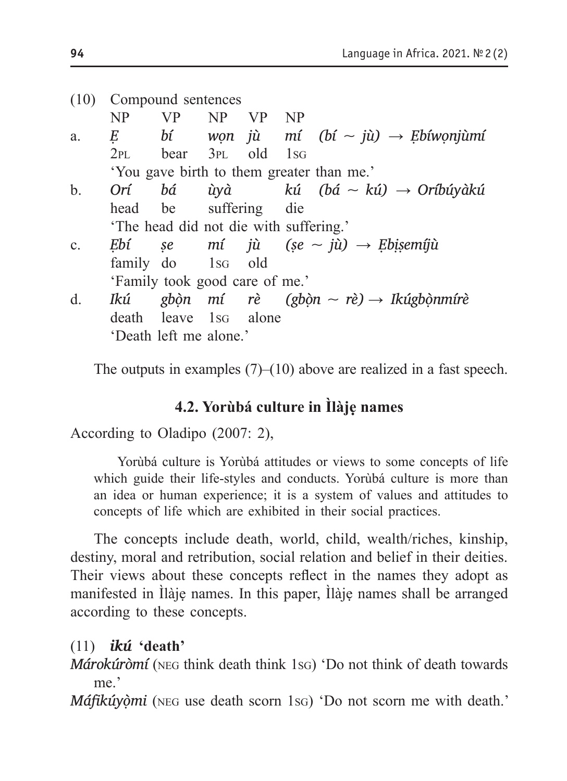|                | (10) Compound sentences |                                        |  |  |  |                                                        |  |  |
|----------------|-------------------------|----------------------------------------|--|--|--|--------------------------------------------------------|--|--|
|                | N <sub>P</sub>          | VP NP VP NP                            |  |  |  |                                                        |  |  |
| a.             |                         |                                        |  |  |  | E bí wọn jù mí (bí $\sim$ jù) $\rightarrow$ Ebíwonjùmí |  |  |
|                |                         | $2PL$ bear $3PL$ old $1SG$             |  |  |  |                                                        |  |  |
|                |                         |                                        |  |  |  | 'You gave birth to them greater than me.'              |  |  |
| $\mathbf{b}$ . |                         |                                        |  |  |  | Orí bá ùyà kú (bá $\sim$ kú) $\rightarrow$ Oríbúyàkú   |  |  |
|                |                         | head be suffering die                  |  |  |  |                                                        |  |  |
|                |                         | 'The head did not die with suffering.' |  |  |  |                                                        |  |  |
| $c_{\cdot}$    |                         |                                        |  |  |  | Ebí se mí jù (se $\sim$ jù) $\rightarrow$ Ebisemíjù    |  |  |
|                |                         | family do 1sG old                      |  |  |  |                                                        |  |  |
|                |                         | 'Family took good care of me.'         |  |  |  |                                                        |  |  |
| d.             | Ikú                     |                                        |  |  |  | gbòn mí rè (gbòn ~ rè) → Ikúgbònmírè                   |  |  |
|                |                         | death leave 1sG alone                  |  |  |  |                                                        |  |  |
|                |                         | 'Death left me alone.'                 |  |  |  |                                                        |  |  |

The outputs in examples  $(7)$ – $(10)$  above are realized in a fast speech.

### **4.2. Yorùbá culture in Ìlàjẹ names**

According to Oladipo (2007: 2),

Yorùbá culture is Yorùbá attitudes or views to some concepts of life which guide their life-styles and conducts. Yorùbá culture is more than an idea or human experience; it is a system of values and attitudes to concepts of life which are exhibited in their social practices.

The concepts include death, world, child, wealth/riches, kinship, destiny, moral and retribution, social relation and belief in their deities. Their views about these concepts reflect in the names they adopt as manifested in Ìlàjẹ names. In this paper, Ìlàjẹ names shall be arranged according to these concepts.

### (11) *ikú* **'death'**

*Márokúròmí* (neg think death think 1sg) 'Do not think of death towards me.'

*Máfikúyòmi* (NEG use death scorn 1sG) 'Do not scorn me with death.'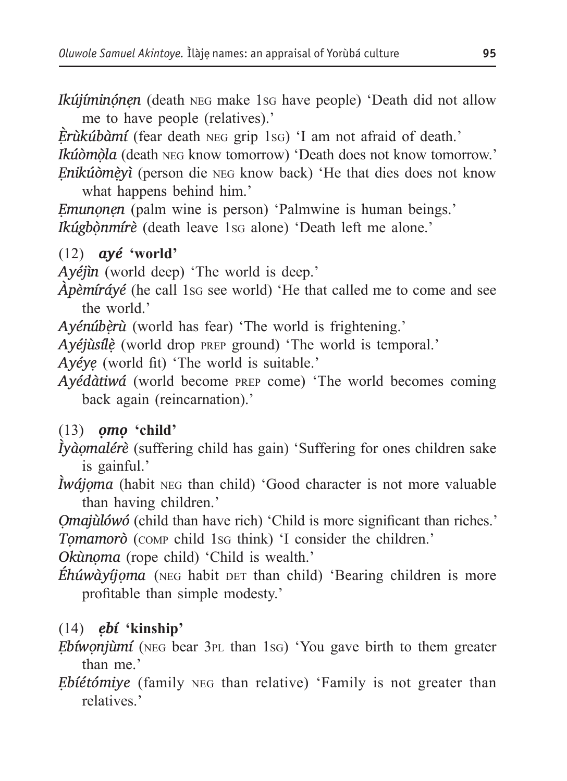*Ikújíminọ́nẹn* (death neg make 1sg have people) 'Death did not allow me to have people (relatives).'

*È ̣rùkúbàmí* (fear death neg grip 1sg) 'I am not afraid of death.' *Ikúòmòla* (death NEG know tomorrow) 'Death does not know tomorrow.' *Ẹnikúòmẹ̀yì* (person die neg know back) 'He that dies does not know

what happens behind him.'

*Ẹmunọnẹn* (palm wine is person) 'Palmwine is human beings.' *Ikúgbònmírè* (death leave 1s<sub>G</sub> alone) 'Death left me alone.'

#### (12) *ayé* **'world'**

*Ayéjìn* (world deep) 'The world is deep.'

*Àpèmíráyé* (he call 1s<sub>G</sub> see world) 'He that called me to come and see the world.

*Ayénúbèrù* (world has fear) 'The world is frightening.'

*Ayéjùsílẹ̀* (world drop prep ground) 'The world is temporal.'

*Ayéyẹ* (world fit) 'The world is suitable.'

*Ayédàtiwá* (world become prep come) 'The world becomes coming back again (reincarnation).'

### (13) *ọmọ* **'child'**

*Ìyàọmalérè* (suffering child has gain) 'Suffering for ones children sake is gainful.'

*İwájọma* (habit ΝΕG than child) 'Good character is not more valuable than having children.'

*Ọmajùlówó* (child than have rich) 'Child is more significant than riches.'

*Tọmamorò* (comp child 1sg think) 'I consider the children.'

*Okùnọma* (rope child) 'Child is wealth.'

*Éhúwàyíjoma* (NEG habit DET than child) 'Bearing children is more profitable than simple modesty.'

### (14) *ẹbí* **'kinship'**

*Ẹbíwọnjùmí* (neg bear 3pl than 1sg) 'You gave birth to them greater than me.'

*Ẹbíétómiye* (family neg than relative) 'Family is not greater than relatives.'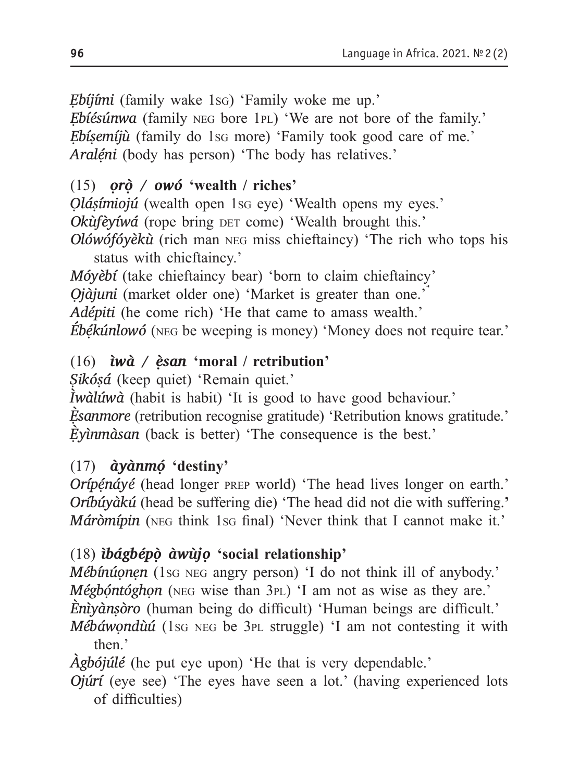*Ẹbíjími* (family wake 1sg) 'Family woke me up.'

*Ẹbíésúnwa* (family neg bore 1pl) 'We are not bore of the family.' *Ẹbíṣemíjù* (family do 1sg more) 'Family took good care of me.' *Araléni* (body has person) 'The body has relatives.'

### (15) *ọrọ̀ / owó* **'wealth / riches'**

*Ọláṣímiojú* (wealth open 1sg eye) 'Wealth opens my eyes.'

*Okùfèyíwá* (rope bring DET come) 'Wealth brought this.'

*Olówófóyèkù* (rich man neg miss chieftaincy) 'The rich who tops his status with chieftaincy.'

*Móyèbí* (take chieftaincy bear) 'born to claim chieftaincy'

*Ọjàjuni* (market older one) 'Market is greater than one.'

*Adépiti* (he come rich) 'He that came to amass wealth.'

*Ébẹ́kúnlowó* (neg be weeping is money) 'Money does not require tear.'

### (16) *ìwà / ẹ̀san* **'moral / retribution'**

*Ṣikóṣá* (keep quiet) 'Remain quiet.'

*Ìwàlúwà* (habit is habit) 'It is good to have good behaviour.'

*È ̣sanmore* (retribution recognise gratitude) 'Retribution knows gratitude.' *È ̣yìnmàsan* (back is better) 'The consequence is the best.'

### (17) *àyànmọ́* **'destiny'**

*Orípénáyé* (head longer PREP world) 'The head lives longer on earth.' *Oríbúyàkú* (head be suffering die) 'The head did not die with suffering.**'** *Máròmípin* (NEG think 1sg final) 'Never think that I cannot make it.'

### (18) *ìbágbépọ̀ àwùjọ* **'social relationship'**

*Mébínúonen* (1sq NEG angry person) 'I do not think ill of anybody.' *Mégbóntóghon* (NEG wise than 3PL) 'I am not as wise as they are.' *Ènìyànṣòro* (human being do difficult) 'Human beings are difficult.' *Mébáwondùú* (1s<sub>G</sub> NEG be 3<sub>PL</sub> struggle) 'I am not contesting it with

then<sup>'</sup>

*Àgbójúlé* (he put eye upon) 'He that is very dependable.'

*Ojúrí* (eye see) 'The eyes have seen a lot.' (having experienced lots of difficulties)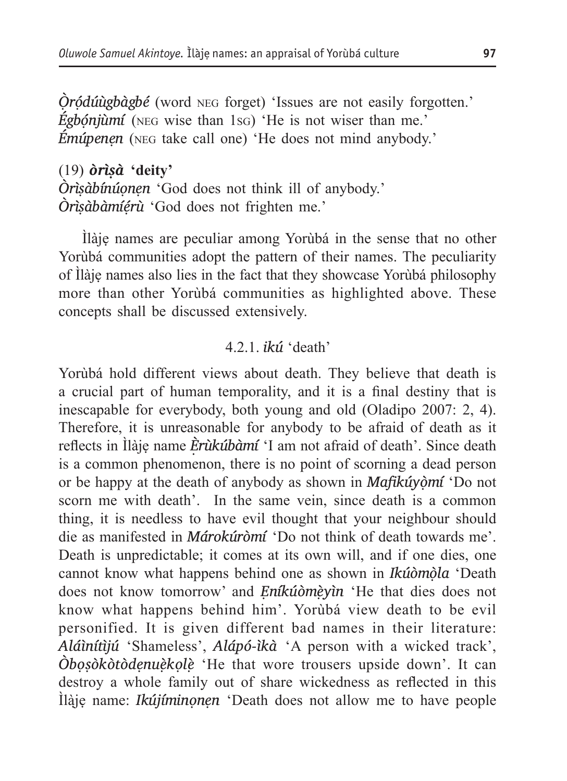*Ò ̣rọ́dúùgbàgbé* (word neg forget) 'Issues are not easily forgotten.' *Égbónjùmí* (NEG wise than 1sG) 'He is not wiser than me.' *Émúpenẹn* (neg take call one) 'He does not mind anybody.'

(19) *òrìṣà* **'deity'** *Òrìṣàbínúọnẹn* 'God does not think ill of anybody.' *Òrìṣàbàmíẹ́rù* 'God does not frighten me.'

Ìlàjẹ names are peculiar among Yorùbá in the sense that no other Yorùbá communities adopt the pattern of their names. The peculiarity of Ìlàjẹ names also lies in the fact that they showcase Yorùbá philosophy more than other Yorùbá communities as highlighted above. These concepts shall be discussed extensively.

#### 4.2.1. *ikú* 'death'

Yorùbá hold different views about death. They believe that death is a crucial part of human temporality, and it is a final destiny that is inescapable for everybody, both young and old (Oladipo 2007: 2, 4). Therefore, it is unreasonable for anybody to be afraid of death as it reflects in Ìlàjẹ name *È rùkúbàmí ̣* 'I am not afraid of death'. Since death is a common phenomenon, there is no point of scorning a dead person or be happy at the death of anybody as shown in *Mafikúyọ̀mí* 'Do not scorn me with death'. In the same vein, since death is a common thing, it is needless to have evil thought that your neighbour should die as manifested in *Márokúròmí* 'Do not think of death towards me'. Death is unpredictable; it comes at its own will, and if one dies, one cannot know what happens behind one as shown in *Ikúòmòla* 'Death does not know tomorrow' and *Eníkúòmèyìn* 'He that dies does not know what happens behind him'. Yorùbá view death to be evil personified. It is given different bad names in their literature: *aláìnítìjú* 'Shameless', *alápó-ìkà* 'A person with a wicked track', *òbọṣòkòtòdẹnuẹ̀kọlẹ̀* 'He that wore trousers upside down'. It can destroy a whole family out of share wickedness as reflected in this Ìlàj̣ẹ name: *Ikújíminọnẹn* 'Death does not allow me to have people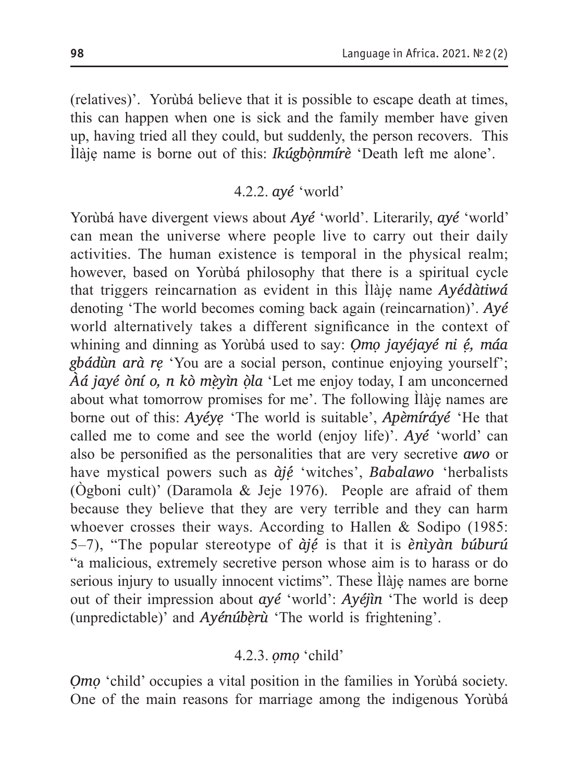(relatives)'. Yorùbá believe that it is possible to escape death at times, this can happen when one is sick and the family member have given up, having tried all they could, but suddenly, the person recovers. This Ìlàjẹ name is borne out of this: *Ikúgbọ̀nmírè* 'Death left me alone'.

### 4.2.2. *ayé* 'world'

Yorùbá have divergent views about *Ayé* 'world'. Literarily, *ayé* 'world' can mean the universe where people live to carry out their daily activities. The human existence is temporal in the physical realm; however, based on Yorùbá philosophy that there is a spiritual cycle that triggers reincarnation as evident in this Ìlàjẹ name *Ayédàtiwá* denoting 'The world becomes coming back again (reincarnation)'. *Ayé* world alternatively takes a different significance in the context of whining and dinning as Yorùbá used to say: *Ọmọ jayéjayé ni ẹ́, máa gbádùn arà rẹ* 'You are a social person, continue enjoying yourself'; *Àá jayé òní o, n kò mẹ̀yìn ọ̀la* 'Let me enjoy today, I am unconcerned about what tomorrow promises for me'. The following Ìlàjẹ names are borne out of this: *Ayéyẹ* 'The world is suitable', *Apèmíráyé* 'He that called me to come and see the world (enjoy life)'. *Ayé* 'world' can also be personified as the personalities that are very secretive *awo* or have mystical powers such as *àjẹ́* 'witches', *Babalawo* 'herbalists (Ògboni cult)' (Daramola & Jeje 1976). People are afraid of them because they believe that they are very terrible and they can harm whoever crosses their ways. According to Hallen & Sodipo (1985: 5–7), "The popular stereotype of *àjẹ́* is that it is *ènìyàn búburú* "a malicious, extremely secretive person whose aim is to harass or do serious injury to usually innocent victims". These Ilàje names are borne out of their impression about *ayé* 'world': *Ayéjìn* 'The world is deep (unpredictable)' and *Ayénúbèrù* 'The world is frightening'.

### 4.2.3. *ọmọ* 'child'

*Ọmọ* 'child' occupies a vital position in the families in Yorùbá society. One of the main reasons for marriage among the indigenous Yorùbá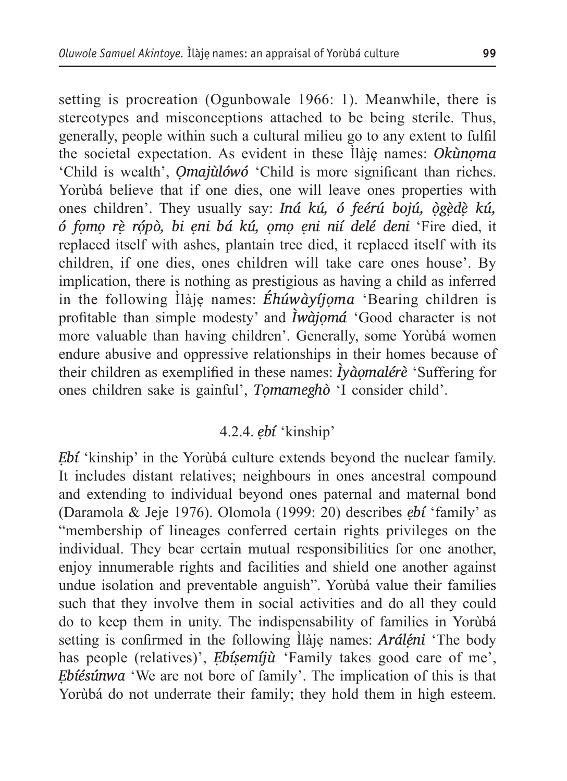setting is procreation (Ogunbowale 1966: 1). Meanwhile, there is stereotypes and misconceptions attached to be being sterile. Thus, generally, people within such a cultural milieu go to any extent to fulfil the societal expectation. As evident in these Ìlàjẹ names: *Okùnọma* 'Child is wealth', *Ọmajùlówó* 'Child is more significant than riches. Yorùbá believe that if one dies, one will leave ones properties with ones children'. They usually say: *Iná kú, ó feérú bojú, ògèdè kú, ó fọmọ rẹ̀ rọ́pò, bi ẹni bá kú, ọmọ ẹni nií delé deni* 'Fire died, it replaced itself with ashes, plantain tree died, it replaced itself with its children, if one dies, ones children will take care ones house'. By implication, there is nothing as prestigious as having a child as inferred in the following Ìlàjẹ names: *Éhúwàyíjọma* 'Bearing children is profitable than simple modesty' and *Ìwàjọmá* 'Good character is not more valuable than having children'. Generally, some Yorùbá women endure abusive and oppressive relationships in their homes because of their children as exemplified in these names: *Ìyàọmalérè* 'Suffering for ones children sake is gainful', *Tọmameghò* 'I consider child'.

### 4.2.4. *ẹbí* 'kinship'

*Ẹbí* 'kinship' in the Yorùbá culture extends beyond the nuclear family. It includes distant relatives; neighbours in ones ancestral compound and extending to individual beyond ones paternal and maternal bond (Daramola & Jeje 1976). Olomola (1999: 20) describes *ẹbí* 'family' as "membership of lineages conferred certain rights privileges on the individual. They bear certain mutual responsibilities for one another, enjoy innumerable rights and facilities and shield one another against undue isolation and preventable anguish". Yorùbá value their families such that they involve them in social activities and do all they could do to keep them in unity. The indispensability of families in Yorùbá setting is confirmed in the following Ìlàje names: *Aráléni* 'The body has people (relatives)', *Ebisemijù* 'Family takes good care of me', *Ẹbíésúnwa* 'We are not bore of family'. The implication of this is that Yorùbá do not underrate their family; they hold them in high esteem.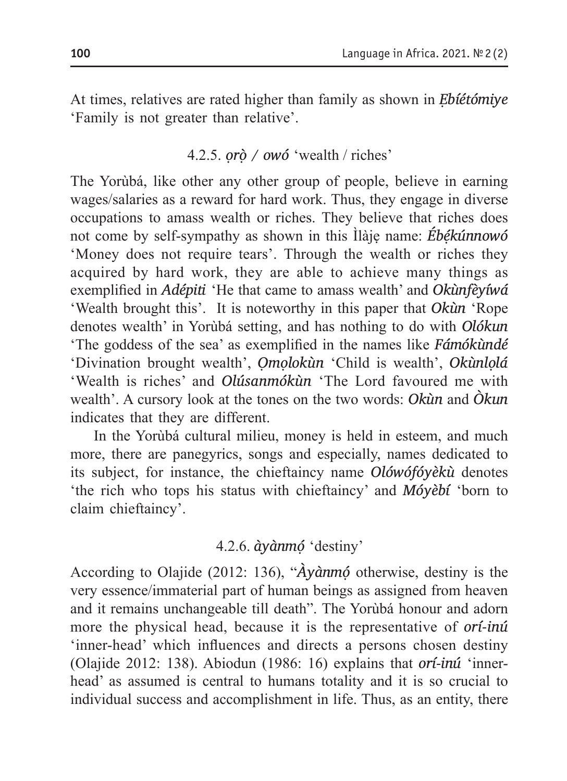At times, relatives are rated higher than family as shown in *Ẹbíétómiye* 'Family is not greater than relative'.

#### 4.2.5. *ọrọ̀ / owó* 'wealth / riches'

The Yorùbá, like other any other group of people, believe in earning wages/salaries as a reward for hard work. Thus, they engage in diverse occupations to amass wealth or riches. They believe that riches does not come by self-sympathy as shown in this Ìlàjẹ name: *Ébẹ́kúnnowó*  'Money does not require tears'. Through the wealth or riches they acquired by hard work, they are able to achieve many things as exemplified in *Adépiti* 'He that came to amass wealth' and *Okùnfèyíwá* 'Wealth brought this'. It is noteworthy in this paper that *Okùn* 'Rope denotes wealth' in Yorùbá setting, and has nothing to do with *Olókun* 'The goddess of the sea' as exemplified in the names like *Fámókùndé* 'Divination brought wealth', *Ọmọlokùn* 'Child is wealth', *Okùnlọlá*  'Wealth is riches' and *Olúsanmókùn* 'The Lord favoured me with wealth'. A cursory look at the tones on the two words: *Okùn* and *Òkun*  indicates that they are different.

In the Yorùbá cultural milieu, money is held in esteem, and much more, there are panegyrics, songs and especially, names dedicated to its subject, for instance, the chieftaincy name *Olówófóyèkù* denotes 'the rich who tops his status with chieftaincy' and *Móyèbí* 'born to claim chieftaincy'.

### 4.2.6. *àyànmọ́* 'destiny'

According to Olajide (2012: 136), "*Àyànmọ́* otherwise, destiny is the very essence/immaterial part of human beings as assigned from heaven and it remains unchangeable till death". The Yorùbá honour and adorn more the physical head, because it is the representative of *orí-inú* 'inner-head' which influences and directs a persons chosen destiny (Olajide 2012: 138). Abiodun (1986: 16) explains that *orí-inú* 'innerhead' as assumed is central to humans totality and it is so crucial to individual success and accomplishment in life. Thus, as an entity, there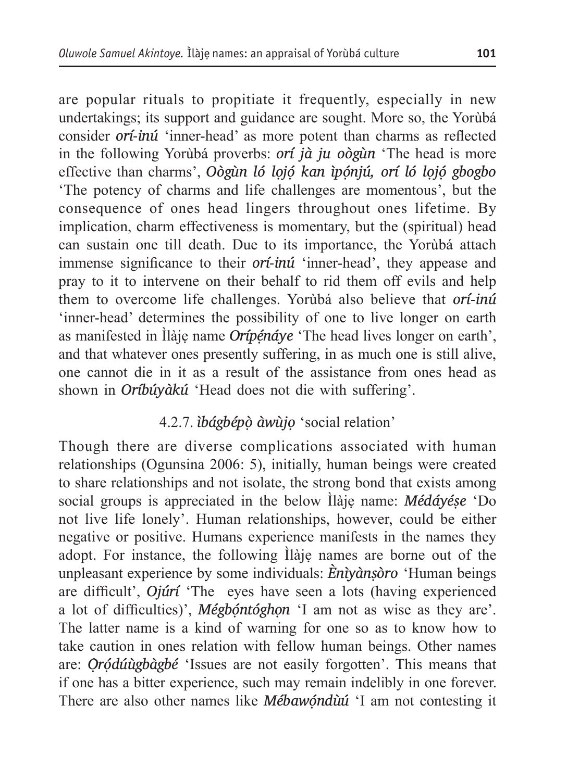are popular rituals to propitiate it frequently, especially in new undertakings; its support and guidance are sought. More so, the Yorùbá consider *orí-inú* 'inner-head' as more potent than charms as reflected in the following Yorùbá proverbs: *orí jà ju oògùn* 'The head is more effective than charms', *Oògùn ló lọjọ́ kan ìpọ́njú, orí ló lọjọ́ gbogbo*  'The potency of charms and life challenges are momentous', but the consequence of ones head lingers throughout ones lifetime. By implication, charm effectiveness is momentary, but the (spiritual) head can sustain one till death. Due to its importance, the Yorùbá attach immense significance to their *orí-inú* 'inner-head', they appease and pray to it to intervene on their behalf to rid them off evils and help them to overcome life challenges. Yorùbá also believe that *orí-inú* 'inner-head' determines the possibility of one to live longer on earth as manifested in Ìlàje name *Orípénáye* 'The head lives longer on earth', and that whatever ones presently suffering, in as much one is still alive, one cannot die in it as a result of the assistance from ones head as shown in *Oríbúyàkú* 'Head does not die with suffering'.

### 4.2.7. *ìbágbépọ̀ àwùjọ* 'social relation'

Though there are diverse complications associated with human relationships (Ogunsina 2006: 5), initially, human beings were created to share relationships and not isolate, the strong bond that exists among social groups is appreciated in the below Ìlàjẹ name: *Médáyéṣe* 'Do not live life lonely'. Human relationships, however, could be either negative or positive. Humans experience manifests in the names they adopt. For instance, the following Ìlàjẹ names are borne out of the unpleasant experience by some individuals: *Ènìyànṣòro* 'Human beings are difficult', *Ojúrí* 'The eyes have seen a lots (having experienced a lot of difficulties)', *Mégbọ́ntóghọn* 'I am not as wise as they are'. The latter name is a kind of warning for one so as to know how to take caution in ones relation with fellow human beings. Other names are: *Ọ̀rọ́dúùgbàgbé* 'Issues are not easily forgotten'. This means that if one has a bitter experience, such may remain indelibly in one forever. There are also other names like *Mébawóndùú* 'I am not contesting it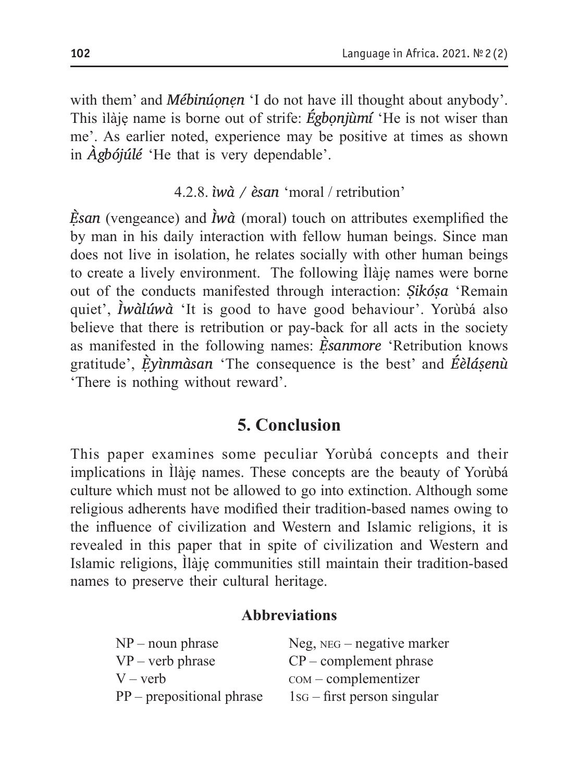with them' and *Mébinúonen* 'I do not have ill thought about anybody'. This ìlàjẹ name is borne out of strife: *Égbọnjùmí* 'He is not wiser than me'. As earlier noted, experience may be positive at times as shown in *Àgbójúlé* 'He that is very dependable'.

#### 4.2.8. *ìwà / èsan* 'moral / retribution'

*È ̣san* (vengeance) and *Ìwà* (moral) touch on attributes exemplified the by man in his daily interaction with fellow human beings. Since man does not live in isolation, he relates socially with other human beings to create a lively environment. The following Ìlàjẹ names were borne out of the conducts manifested through interaction: *Ṣikóṣa* 'Remain quiet', *Ìwàlúwà* 'It is good to have good behaviour'. Yorùbá also believe that there is retribution or pay-back for all acts in the society as manifested in the following names: *È ̣sanmore* 'Retribution knows gratitude', *È ̣yìnmàsan* 'The consequence is the best' and *Éèláṣenù*  'There is nothing without reward'.

### **5. Conclusion**

This paper examines some peculiar Yorùbá concepts and their implications in Ìlàjẹ names. These concepts are the beauty of Yorùbá culture which must not be allowed to go into extinction. Although some religious adherents have modified their tradition-based names owing to the influence of civilization and Western and Islamic religions, it is revealed in this paper that in spite of civilization and Western and Islamic religions, Ìlàjẹ communities still maintain their tradition-based names to preserve their cultural heritage.

### **Abbreviations**

| $NP$ – noun phrase          | $Neg, NEG - negative marker$    |
|-----------------------------|---------------------------------|
| $VP - verb$ phrase          | $CP$ – complement phrase        |
| $V - verb$                  | $com$ – complementizer          |
| $PP$ – prepositional phrase | $1$ s $-$ first person singular |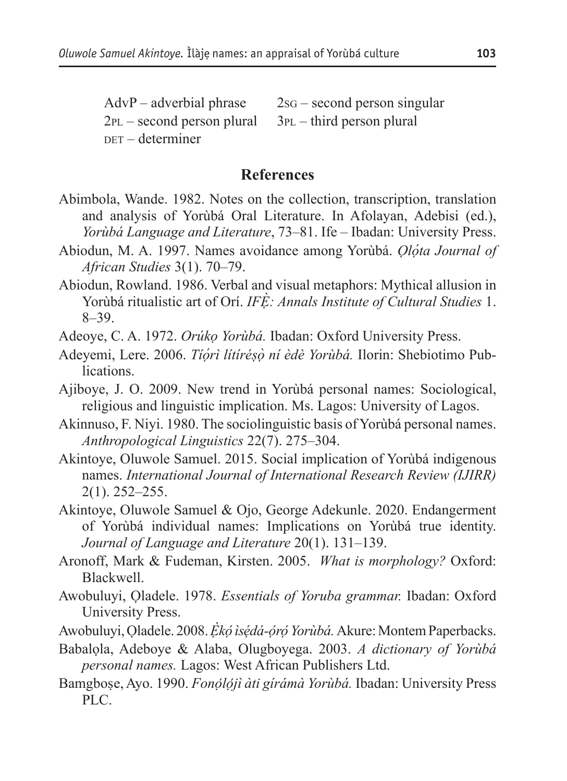$AdvP - adverbial phrase 2SG - second person singular$  $2PL$  – second person plural  $3PL$  – third person plural  $per$  – determiner

#### **References**

- Abimbola, Wande. 1982. Notes on the collection, transcription, translation and analysis of Yorùbá Oral Literature. In Afolayan, Adebisi (ed.), *Yorùbá Language and Literature*, 73–81. Ife – Ibadan: University Press.
- Abiodun, M. A. 1997. Names avoidance among Yorùbá. *Ọló ta Journal of ̣ African Studies* 3(1). 70–79.
- Abiodun, Rowland. 1986. Verbal and visual metaphors: Mythical allusion in Yorùbá ritualistic art of Orí. *IFÈ: Annals Institute of Cultural Studies ̣* 1. 8–39.
- Adeoye, C. A. 1972. *Orúkọ Yorùbá.* Ibadan: Oxford University Press.
- Adeyemi, Lere. 2006. *Tíó ṛ ì lítíréṣò ṇ í èdè Yorùbá.* Ilorin: Shebiotimo Publications.
- Ajiboye, J. O. 2009. New trend in Yorùbá personal names: Sociological, religious and linguistic implication. Ms. Lagos: University of Lagos.
- Akinnuso, F. Niyi. 1980. The sociolinguistic basis of Yorùbá personal names. *Anthropological Linguistics* 22(7). 275–304.
- Akintoye, Oluwole Samuel. 2015. Social implication of Yorùbá indigenous names. *International Journal of International Research Review (IJIRR)*  2(1). 252–255.
- Akintoye, Oluwole Samuel & Ojo, George Adekunle. 2020. Endangerment of Yorùbá individual names: Implications on Yorùbá true identity. *Journal of Language and Literature* 20(1). 131–139.
- Aronoff, Mark & Fudeman, Kirsten. 2005. *What is morphology?* Oxford: Blackwell.
- Awobuluyi, Ọladele. 1978. *Essentials of Yoruba grammar.* Ibadan: Oxford University Press.
- Awobuluyi, Ọladele. 2008. *Ẹ̀kó ̣ ìsé ̣dá-ó ̣ró ̣ Yorùbá.* Akure: Montem Paperbacks.
- Babalọla, Adeboye & Alaba, Olugboyega. 2003. *A dictionary of Yorùbá personal names.* Lagos: West African Publishers Ltd.
- Bamgbose, Ayo. 1990. *̣ Fonó ̣ló ̣jì àti gírámà Yorùbá.* Ibadan: University Press PLC.